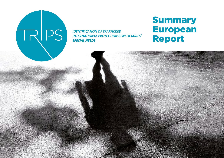# RPS

**IDENTIFICATION OF TRAFFICKED INTERNATIONAL PROTECTION BENEFICIARIES' SPECIAL NEEDS** 

# Summary European Report

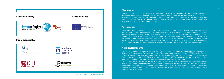

# **Disclaimer**

This document is produced as part of the project TRIPS – *identification of TRafficked International Protection beneficiaries' Special needs*. This report was funded by the European Union's Asylum, Migration and Integration Fund. The content of this report represents the views of the author only and is his/her sole responsibility. The European Commission does not accept any responsibility for use that may be made of the information it contains.

# Partnership

The project TRIPS – *identification of TRafficked International Protection beneficiaries' Special needs* is a two years project implemented by Forum réfugiés-Cosi, the project coordinator, and its European partners Churches' Commission for Migrants in Europe (CCME), Italian Council for Refugees (CIR), Immigrant Council of Ireland (ICI), Organization for Aid to Refugees (OPU). The French Office for the Protection of Refugees and Stateless persons (OFPRA), the French Office of Immigration and Integration (OFII), the Council of Europe (Secretariat of the Group of Experts on Action against Trafficking in Human Beings - GRETA), and Amicale du Nid are associated to this project as European experts.

# Acknowledgments

The TRIPS project's partnership, composed of the five organizations, would also like to thank in particular the French Office for the Protection of Refugees and Stateless Persons (OFPRA), the French Office of Immigration and Integration (OFII), the Council of Europe (Secretariat of the Group of Experts on Action against Trafficking in Human Beings – GRETA), Amicale du Nid as well as participants to national focus groups for their very valuable inputs and contributions. Last but not least, this report has attributed a central place to the invaluable information provided by the interviewed beneficiaries of international protection who were victims of trafficking, and who had experienced first-hand the asylum and integration process in the studied countries. With humility and appreciation, this report includes the voices of the vulnerable and often silent people who are the focus of the TRIPS project.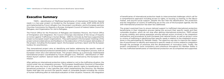# Executive Summary

TRIPS – *identification of TRafficked beneficiaries of International Protection Special needs* is a two-year project co-funded by the European Union under AMIF-2018-AG-INTE and implemented by Forum réfugiés-Cosi, the project coordinator, and its European partners Churches Commission for Migrants in Europe, Immigrant Council of Ireland, Italian Council for Refugees, and Organization for Aid to Refugees.

The French Office for the Protection of Refugees and Stateless Persons, the French Office of Immigration and Integration, the Council of Europe (Secretariat of the Group of Experts on Action against Trafficking in Human Beings - GRETA) Amicale du Nid have supported the project as European expert organizations. They participated in the European meetings of the project and provided advice and feedback on the elaboration of the European deliverables of the project, including the European report, the European summary report and the European toolbox for practitioners.

This transnational project aims at identifying and better addressing the specific needs of trafficked international protection beneficiaries in relation to the integration process, both at European Union (EU) and national levels. This project follows up a previously implemented transnational project coordinated by Forum réfugiés-Cosi, *TRACKS* - *identification of TRafficked Asylum seeKers' Special needs* (2016-2017)*,* and co-financed by the European Commission.

After getting an international protection status related or not to the trafficking situation, the victims enter into an integration process. The European Qualification Directive of December 2011 that came into force on 22 December 2013 grants specific rights to beneficiaries of in ternational protection. It also specifies that when implementing the Directive, the Member States shall take into account the specific needs of vulnerable people including the victims of human trafficking after an individual evaluation of their situation. However, the integration

of beneficiaries of international protection leads to interconnected challenges which call for a comprehensive approach including access to rights, to housing, to training, to the labour market, and psycho-social support. Despite the fact that the identification, the protection and the integration of victims of trafficking are at the core of the European agenda, the link with international protection has been less addressed.

The project examined how to ensure tailored support to trafficked international protection beneficiaries in their integration process taking into account their specific needs and their vulnerable situation, which do not stop after getting international protection. TRIPS aimed at giving visibility and raising awareness among relevant actors involved in the integration mechanisms and procedures at both European and national levels, as well as giving a voice to victims of trafficking in identifying their specific needs in relation to the integration proce dures in the participating EU Member States. The objective was also to improve the capaci ties of practitioners to identify and respond to specific needs of victims related to integration through the exchange of practices and the development of innovative tools. Finally, the project contributed to more consistency and coherence throughout EU Member States in the way trafficked beneficiaries of international protection are accompanied and supported.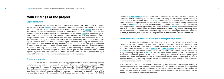project. In Czech Republic, critical issues and challenges are reported on data collection of victims of human trafficking. Annual statistics on trafficking do not include asylum seekers or beneficiaries of international protection. In Italy, although some statistics on victims benefitting from assistance and protection are available, no coordination is ensured among the different databases. In France, only data on residence permits granted to victims who filed a complaint and on presumed victims supported by NGOs are available. In Ireland, some relevant information with regards to international protection beneficiaries affected by human trafficking could be obtained from the International Protection Appeal Tribunal, which publishes their decisions in anonymized form, and some data is also produced by the National Referral Mechanism.

#### **Identification of victims of trafficking in the integration process**

Looking at the implementation of Article 20(3) and (4) of the recast Qualification Directive, the study has demonstrated that in the four countries covered by the study, there is no proper assessment of victims of human trafficking's special needs, after being granted an international protection status. In France and Czech Republic, there is no legal provision; in Italy there is no designated competent authority, and a lack of clear process of vulnerability screening is reported in Ireland. The Evaluation report of the recast Qualification Directive underlines the general reuse of the vulnerability assessment made during the asylum procedure. The four countries have developed different action plans or strategies in order to address these gaps, including specific action for victims of human trafficking or vulnerable international protection beneficiaries.

Furthermore, all four countries covered by the study report important challenges relating to the information sharing on victims' special needs, including between asylum and integration authorities. In order to ensure continuum of care for trafficked international protection be neficiaries, the role of NGO and social workers is crucial to either alert authorities on victims' needs or refer cases to appropriate services.

# Main Findings of the project

#### **Legal framework**

The analysis of the legal framework applicable reveals that the four States covered by the study, except Ireland, have transposed the recast Common European Asylum System, including the recast Qualification Directive of December 2011. Ireland participated in the original Qualification Directive, as well as the original Asylum Procedure Directive and recently joined in 2018 the recast Reception Directive. Moreover, Italy has been through recent reforms and several kinds of residence permits linked to the asylum procedure and the reception conditions have been introduced. The four States have also transposed the EU le gislative texts relating to human trafficking as the Anti-Trafficking Directive and the Victims' Rights Directive. Moreover, the EU action on fighting human trafficking, on enhancing inte gration and inclusion of third-country nationals, and EASO's work provide global guidelines to the EU Member States in their national policies. Furthermore, the UN Palermo Protocol, the Council of Europe Convention on Action against Trafficking in Human Beings, and the Convention and Protocol relating to the Status of Refugee provide a valuable and common legal background and framework to the States covered by this study, to address the triple nexus of human trafficking, international protection and integration.

#### **Trends and statistics**

The collection of comprehensive and disaggregated data on human trafficking remains a challenge at EU and national level. The European Commission data report released in 2020 provides partial, but updated, statistics on victims registered in the EU in 2017-2018. Although data collection is improving in the four countries, each Member State collects data at national level in an inconsistent manner making any comparative approach impossible. None of the Member States covered by the study collect detailed data on the target group of the TRIPS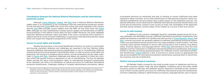inconsistent decisions by authorities and lack of training on human trafficking have been reported in these countries. As for other beneficiaries of international protection, family reu nification entitlements and procedures have a great impact on the integration process. Ad ditional difficulties can be observed for trafficked international protection beneficiaries such as the lack of trustworthy contacts in the country of origin, the vulnerability of the applicants and their family members, and the safety of the children as a source of fear and concern.

#### **Access to safe housing**

In addition to the common challenges faced by vulnerable people across EU to ac cess adequate and affordable housing, trafficked international protection beneficiaries face additional obstacles to benefit from durable and safe housing. In Czech Republic, France and Italy, common provisions are generally applied to trafficked international protection beneficiaries, but specialized housing solutions are only made available in small numbers. The three countries report general obstacles to access safe housing due to lack of places, long delays, safety, financial capacity, and language barriers. While Italy demonstrates to have the most adapted common framework to trafficked international protection beneficiaries and France intends to develop promising specialized places for trafficked women international protec tion beneficiaries, Ireland deplores a lack of provision to ensure access to appropriate and safe accommodation for international protection beneficiaries exposing them to discrimina tion practices and risk of destitution.

#### **Medical and psychological assistance**

All Member States covered by the study provide access to healthcare and the pu blic health insurance system under the same eligibility conditions and to the public health insurance system as nationals, with different specific measures to facilitate access. However, none of them include specific provisions for trafficked international protection beneficiaries. Common challenges relating to administrative procedures, language barriers, lack of specia -

#### **Coordination between the National Referral Mechanisms and the international protection system**

Although Czech Republic, Ireland, and Italy have a National Referral Mechanism, (NRM) there is no consistency in the coordination with the international protection system. On the one hand, the Czech NRM only covers the victims who were exploited in the country<sup>1</sup> and the Irish NRM excludes asylum seekers from the NRM. On the other hand, the Italian NRM, although not fully implemented, includes asylum seekers and beneficiaries of interna tional protection in the referral. France does not have a NRM. Moreover, the study highlights important differences between status and rights if the victim is protected with a specific re sidence permit for victim of human trafficking or is granted an international protection status which can impact the integration perspectives of the victims.

#### **Access to social rights and benefits**

Despite the provisions in the recast Qualification Directive on access to social rights and housing, important obstacles and challenges are reported in the four Member States exposing trafficked international protection beneficiaries to risk of (re)trafficking. Different systems and services are proposed in each Member State. In order to access social rights and protection, the issuing of a residence permit and/or civil documentation are key steps, espe cially in France and Italy. Important challenges and delays are reported in these two countries which can expose victims to destitution or risk of (re)trafficking. The four EU Member States provide the same social protection rights to international protection beneficiaries as for nationals, but there is no facilitation or special provisions for trafficked international protection beneficiaries. Challenges relating to complex administrative procedures, delays,

<sup>1</sup> Presumed victims of trafficking in human beings over the age of 18 can be included in the Programme for Support and Protection of Victims of Trafficking. Next to Czech citizens, a third-country nationals or a EU citizens who are presumed victims of THB in the territory of Czech republic or have been brought to Czech republic for this purpose can participate in the programme.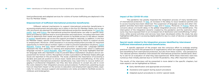#### **Impact of the COVID-19 crisis**

The pandemic has greatly impacted the integration process of many beneficiaries of international protection. In Italy, an increase in the delay to issue residence permits and to access housing have been observed. The suspension of language courses and other inte gration activities have been reported in Italy and in France. Moreover, in France, there are concerns about a 6-month delay in the global integration process of the beneficiaries. The interruption of the integration dynamic created by the pandemic and the restriction mea sures may have exposed them to an increased risk of destitution and (re)trafficking. Further more, while several activities and services have been developed online, the study has also highlighted difficulties in accessing digital platforms due to a lack of devices or appropriate assistance.

- Early identification and appropriate environment
- Assistance and support during asylum procedure
- Adapted asylum procedures to victims' special needs

#### **Special needs related to the integration process identified by interviewed trafficked international protection beneficiaries.**

A specific approach of the project was the conscious effort to evaluate existing practices not only from the perspective of organisations which are supporting trafficked vic tims benefitting from international protection, but also from these victims´ own perspective. The national partners therefore interviewed the international protection beneficiaries direc tly to ask for an evaluation of what they had experienced. While these interviews were less numerous than initially planned due to COVDI-19 pandemic, they offer important insights.

The results of the interviews will be presented in more detail in the specific chapters, but main aspects can be highlighted as follows:

lized professionals and adapted services for victims of human trafficking are deplored in the four EU Member States.

#### **Empowerment of trafficked international protection beneficiaries**

Different national mechanisms to support international protection beneficiaries in accessing employment and education are in place in the four EU Member States, but no spe cific provisions are planned for trafficked international protection beneficiaries. In Czech Re public, Italy and France, the international protection beneficiaries can refer to specific assistance provided by national and/or local authorities and institutions, including interviews with them to determine their needs and specific actions to facilitate access to the labour market. In Ireland, beneficiaries can access the support provided to nationals. In addition, in the four EU Member States, specific programmes have been developed by NGOs to support access to employment. Moreover, while assistance in accessing employment provides an important opportunity to inform about workers' rights in order to prevent exploitation situations, Czech Republic, France and Italy report information provision on labour law. Language barriers represent the main obstacle to training and employment opportunities which is addressed language courses in Czech Republic, Italy and France. In Italy, the study highlights that better language skills also represent a way to prevent labour exploitation situations and an em powerment for former victims. Recognition of skills is provided in all Member States although issues are reported on the procedures. The study underlines the importance of accessing a durable and paid job position to ensure basic needs and avoid (re)trafficking. At the same time, trafficked international protection beneficiaries may need time to recover before en gaging in professional integration, but they also face pressure to accept any job to cover the costs related to their integration process and procedures. Furthermore, parenting issues have an important impact on the access to education and employment opportunities, espe cially for women, because support and assistance are rarely provided to facilitate access to childcare and kindergarten.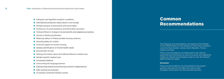- Adequate and dignified reception conditions
- **International protection status alone is not enough**
- **•** Prompt issuance of documents and social rights
- Continuum of social assistance and information provision
- Trained officers in charge of social benefits and adapted procedures
- Access to family reunification
- Reducing delays in finding durable housing solutions
- **C** Ensuring safety for victims
- **•** Financial support to access housing
- Speedy identification of mental health needs
- **Environment of trust**
- Getting information about and offered effective medical care
- Gender-specific medical care
- **Accessing childcare**
- Overcoming the language barriers
- Getting empowered and achieving economic independence
- Safe working environment
- Accessing vocational training courses

# Common Recommendations

*The following recommendations are based on the findings of the TRIPS project for the purpose of which four European countries have studies, namely Czech Republic, France,* 

*Ireland, and Italy.* 

*These recommendations are addressed to the relevant authorities and institutions as well as to policy and legislation makers at national and European levels to who the relevant legal frameworks apply.* 

#### *Disclaimer*

*These recommendations are formulated by the project partners only and do not reflect the views of the European Commission nor the associate partners.*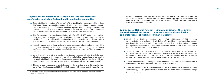# **1. Improve the identification of trafficked international protection beneficiaries thanks to a fostered multi stakeholder cooperation**

- Ensure full implementation of Chapter 7 of the Qualification Directive and its Articles 20(3) and (4) on the specific situation of vulnerable international protection benefi ciaries, including victims of human trafficking, and consider carrying out vulnerability assessment, including on the basis of human trafficking indicators, after international protection is granted to ensure adequate detection of their special needs;
- The European Commission, in consultation with EASO2, UNHCR and relevant civil so ciety organisations, should address detailed guidelines to Member States to improve the identification of trafficked international protection beneficiaries and address their specific situation, as vulnerable persons, with regards to their integration needs ;
- In the European and national action plans and strategies related to human trafficking and integration of beneficiaries of international protection, specific actions to identify trafficked international protection beneficiaries or are at risk of trafficking should be included;
- When the police or another law enforcement agency is responsible for the victim iden tification procedure, they must involve other stakeholders specialised in combating human trafficking in the identification process, especially during interviews with vic tims. The victim must be able to choose that the interview is led by a same-sex officer;
- Elaborate clear, transparent, needs based, gender oriented, and child friendly Stan dard Operation Procedures (SOPs) in collaboration with specialised civil society orga -

nisations, including questions addressing potential human trafficking situations. The SOPs should ensure sufficient time for the interview, appropriate environment and support to potential victims, and should be followed by more detailed questions in case of suspicion of exploitation.

# **2. Introduce a National Referral Mechanism or enhance the existing National Referral Mechanism to ensure appropriate identification and protection of all victims of human trafficking**

- Member States that have not set up a National Referral Mechanism (NRM) should do so immediately and include in it all victims of trafficking, including asylum seekers and beneficiaries of international protection. A clearly defined coordination should be developed between the international protection system and the NRM to improve identification and protection of victims;
- The NRM should be accessible to all victims irrespective of age, gender, form of ex ploitation, and residence status, and cover all stages from initial identification to full integration or reintegration in the country of origin. It should not be linked to a requi rement to cooperate with a criminal investigation and/or prosecution;
- A wide and clearly defined range of actors should be able to refer possible victims of trafficking to the NRM, including civil society organisations;
- Adequate resources must be allocated to the NRM to ensure its implementation and sustainability, including the collection of data and its use to monitor trends and design policy responses.

<sup>2</sup> At the time of writing, the European Asylum Support Office (EASO) is under process to become the European Union Agency for Asylum (EUAA).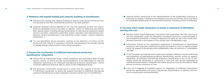#### **3. Reinforce and expand training and capacity building of practitioners**

- Reinforce the training and capacity building of relevant practitioners during the asy lum procedure and after international protection has been granted;
- Organise targeted training adapted to the role and capacities of both non-specia lised and specialised service providers to identify victims of trafficking and address their special needs, including among beneficiaries of international protection (public services providers, integration authorities, police, education and employment prac titioners, medical professionals, local authorities, social workers, cultural mediators, interpreters…);
- For non-specialised service providers, training on the detection of victims of traf ficking and their referral to assistance should be mainstreamed into broader training on gender-based violence and/or intercultural awareness.

## **4. Ensure the monitoring of trafficked international protection beneficiaries' integration**

- Ensure that an independent body collects qualitative and quantitative data through specific reports, as well as provide recommendations to all stakeholders to improve integration mechanisms for trafficked international protection beneficiaries. Victims of human trafficking should be able to report to this independent body;
- The European Commission should launch a study with the support of the EU An ti-Trafficking Coordinator to assess the support provided to trafficked international protection beneficiaries on their integration process and the risk of (re)trafficking;

Improve EASO's monitoring of the implementation of the Qualification Directive, in particular its chapter 7 related to the integration process and Articles 20(3) and 20(4) for vulnerable beneficiaries of international protection, including victims of trafficking.

# **5. Develop tailor-made integration to ensure a continuum of information sharing and care**

- Member States should elaborate a mechanism that guarantees that the outcome of the first assessment under the Reception Conditions Directive is communicated to the competent authorities in charge of applying the rights set out in the recast Qua lification Directive in full respect of the privacy and confidentiality rules;
- Information sharing on the exploitation experience of beneficiaries of international protection who have been trafficked should be facilitated as much as legally possible and in full respect of the privacy and confidentiality rules, as minimum a "vulnerability red flag";
- In the European and national action plans and strategies related to human trafficking and integration of international protection beneficiaries, specific actions to support integration of trafficked international protection beneficiaries or are at risk of traf ficking should be developed or reinforced in close link with actions dedicated to trafficked asylum seekers. Adequate and stable resources must be allocated to these actions to ensure continuum of care;
- Carry out a mapping of available support for integration of trafficked international protection beneficiaries and ensure appropriate dissemination of relevant informa tion to practitioners and beneficiaries;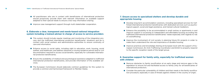- All practitioners who are in contact with beneficiaries of international protection should proactively provide them with relevant information on available support adapted to their special needs to ensure a two-way information sharing;
- Improve case management support through multi stakeholder cooperation.

# **6. Elaborate a clear, transparent and needs-based national integration system including a trained adviser in charge of access to service providers**

- This system should include regular meetings and monitoring of the integration pro cess and the trafficked international protection beneficiaries' situations and be in contact with social workers and administrative authorities to ensure continuity of care and information;
- Enhance access to social rights, including right to education, work, housing, social welfare, and healthcare, and address obstacles in issuing residence permit and/or civil documentation required to access social benefits, especially for vulnerable internatio nal protection beneficiaries;
- Ensure the availability of medical and psychological assistance adapted to trafficked international protection beneficiaries, and provide information of the available ser vices;
- The European Commission should elaborate common guidelines for this system to provide a common and harmonised framework to Member States.

# **7. Ensure access to specialised shelters and develop durable and appropriate housing**

- Develop long-term accommodation solutions, including specialised services for traf ficked international protection beneficiaries with dedicated services such as psycho logical support, social and legal assistance, and trained cultural mediators;
- Enhance the possibility to be accommodated in small centres or apartments in and improve support in accessing to independent and affordable housing according the trafficked international protection beneficiaries' needs especially with regards to risk of (re)trafficking;
- Improve the involvement of civil society in planning future EU projects in order to make them understand the role and importance of durable housing;
- Improve practices and knowledge sharing at European level with the support of Eu ropean Commission, EU Anti-Trafficking Coordinator and EASO to properly respond to the specific reception needs of the target group.

# **8. Guarantee support for family unity, especially for trafficked women with children**

- Remove obstacles to family reunification at an early stage and remove gaps in the legislation to ensure full and facilitated access to family unity for all beneficiaries of international protection;
- Consider the particular vulnerability of children and their needs in the family reunifica tion procedure, especially in case of threats against children in the country of origin;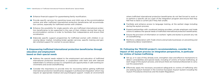- Enhance financial support for guaranteeing family reunification;
- Provide specific services for parenting issues and child care at the accommodation centres and after trafficked international protection beneficiaries left accommodation centres, especially for trafficked women with children;
- Enhance the possibility for single parents who are trafficked international protection beneficiaries to be supported in the care of their children during their stay at accommodation centres in order to facilitate their independence and ensure their socialisation;
- Elaborate specific support programmes for trafficked women with children in accessing labour market, including kinder garden services, specific training and gender-oriented support for women to access labour.

## **9. Empowering trafficked international protection beneficiaries through education and employment based on their special needs**

- Address the special needs related to the employment and education of trafficked international protection beneficiaries, in cooperation with them and with relevant stakeholders to enhance access to competitive job opportunities in safe working environments and avoid (re)trafficking;
- Consider the importance to provide time for recovering before getting trafficked international protection beneficiaries engaged in professional integration which may require an appropriate medical and psychological support. Create an environment
- Set up, or in case of they already exist, strengthen clear and effective mechanisms to detect vulnerabilities and special needs, including of victims of human trafficking, at each stage of the asylum process, and ensure there are trained professionals to carry out this assessment;
- Effectively apply the necessary procedural safeguards to victims of trafficking who are seeking asylum foreseen in the Common European Asylum System including the Asylum Procedures Directives and the Dublin Regulation;

where trafficked international protection beneficiaries do not feel forced to work or to perform a specific job as a part of the integration program and ensure that they feel free to leave a current job if they feel unsafe;

- Facilitate and enhance access to language training, at the earliest stage including during the asylum process;
- Expand partnerships with vocational training providers, private employers and trade unions to address the special needs of trafficked international protection beneficiaries;
- Ensure the provision of information on workers' rights and duties to prevent any risk of (re)trafficking;
- Reinforce collaboration with Trade Unions and private businesses on preventing and addressing labour exploitation;

# **10. Following the TRACKS project's recommendations, consider the impact of the asylum process on integration perspectives, in particular for victims of human trafficking**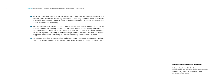#### **Published by Forum réfugiés-Cosi 09-2021**

Photo crédits : © Alex Linch - iStock Graphic design and layout : m.glavanovic@orange.fr Printed in France, on FSC paper that meets environmental standards.

- After an individual examination of each case, apply the discretionary clause (Article 17(1)) to victims of trafficking under the Dublin Regulation to avoid transfer to a Member State where they had been or may be exploited or where no sustainable victim protection is available;
- Provide appropriate reception conditions meeting the special needs of victims of trafficking who are seeking asylum, as foreseen by the Recast Reception Directive in combination with the Anti-Trafficking Directive, the Council of Europe Convention on Action against Trafficking in Human Beings and the Palermo Protocol to Prevent, Suppress, and Punish Trafficking in Persons Especially Women and Children;
- $\bullet$  Initiate at the earliest stage possible, including during the asylum procedure, the integration activities, as language courses, to facilitate long term inclusion and recovery.